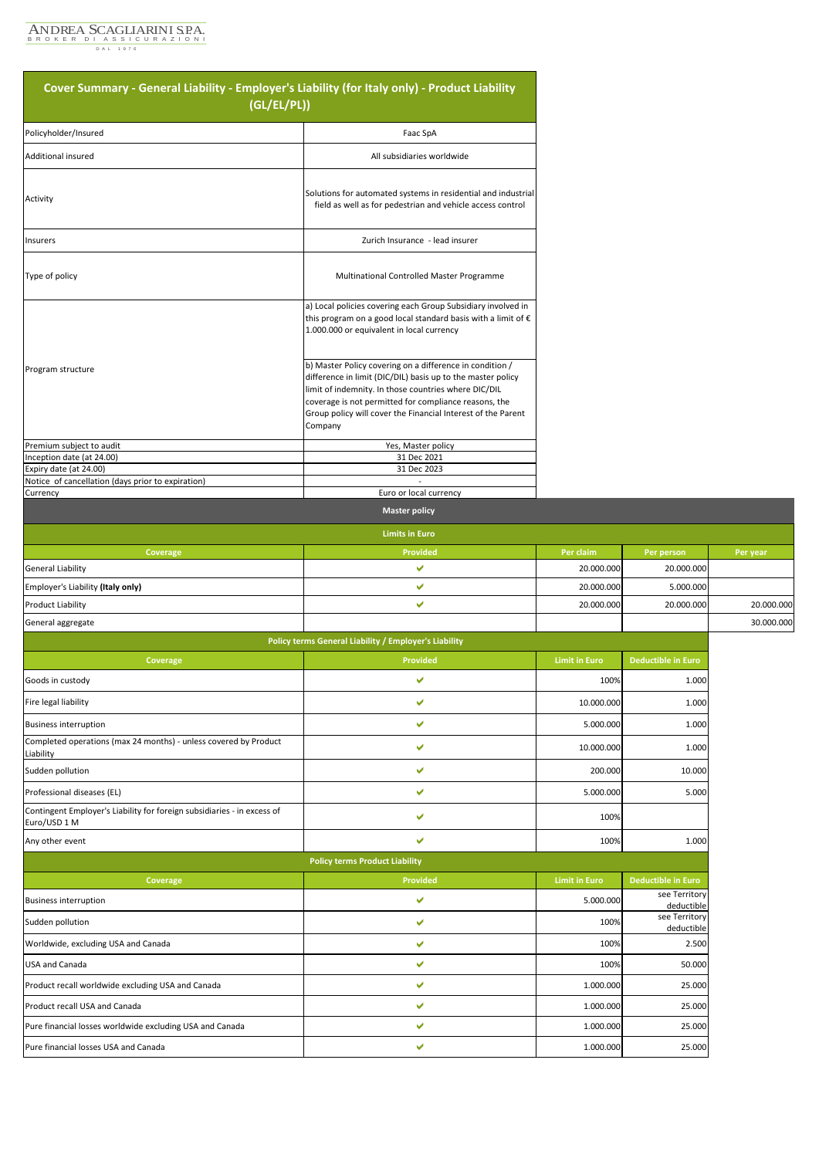

| Cover Summary - General Liability - Employer's Liability (for Italy only) - Product Liability<br>(GL/EL/PL)) |                                                                                                                                                                                                                                                                                                                     |                      |                             |            |
|--------------------------------------------------------------------------------------------------------------|---------------------------------------------------------------------------------------------------------------------------------------------------------------------------------------------------------------------------------------------------------------------------------------------------------------------|----------------------|-----------------------------|------------|
| Policyholder/Insured                                                                                         | Faac SpA                                                                                                                                                                                                                                                                                                            |                      |                             |            |
| Additional insured                                                                                           | All subsidiaries worldwide                                                                                                                                                                                                                                                                                          |                      |                             |            |
| Activity                                                                                                     | Solutions for automated systems in residential and industrial<br>field as well as for pedestrian and vehicle access control                                                                                                                                                                                         |                      |                             |            |
| Insurers                                                                                                     | Zurich Insurance - lead insurer                                                                                                                                                                                                                                                                                     |                      |                             |            |
| Type of policy                                                                                               | Multinational Controlled Master Programme                                                                                                                                                                                                                                                                           |                      |                             |            |
|                                                                                                              | a) Local policies covering each Group Subsidiary involved in<br>this program on a good local standard basis with a limit of €<br>1.000.000 or equivalent in local currency                                                                                                                                          |                      |                             |            |
| Program structure                                                                                            | b) Master Policy covering on a difference in condition /<br>difference in limit (DIC/DIL) basis up to the master policy<br>limit of indemnity. In those countries where DIC/DIL<br>coverage is not permitted for compliance reasons, the<br>Group policy will cover the Financial Interest of the Parent<br>Company |                      |                             |            |
| Premium subject to audit                                                                                     | Yes, Master policy                                                                                                                                                                                                                                                                                                  |                      |                             |            |
| Inception date (at 24.00)<br>Expiry date (at 24.00)                                                          | 31 Dec 2021<br>31 Dec 2023                                                                                                                                                                                                                                                                                          |                      |                             |            |
| Notice of cancellation (days prior to expiration)<br>Currency                                                | Euro or local currency                                                                                                                                                                                                                                                                                              |                      |                             |            |
|                                                                                                              | <b>Master policy</b>                                                                                                                                                                                                                                                                                                |                      |                             |            |
|                                                                                                              | <b>Limits in Euro</b>                                                                                                                                                                                                                                                                                               |                      |                             |            |
| Coverage                                                                                                     | Provided                                                                                                                                                                                                                                                                                                            | Per claim            | Per person                  | Per year   |
| <b>General Liability</b>                                                                                     | V                                                                                                                                                                                                                                                                                                                   | 20.000.000           | 20.000.000                  |            |
| Employer's Liability (Italy only)                                                                            | ✔                                                                                                                                                                                                                                                                                                                   | 20.000.000           | 5.000.000                   |            |
| <b>Product Liability</b>                                                                                     | $\checkmark$                                                                                                                                                                                                                                                                                                        | 20.000.000           | 20.000.000                  | 20.000.000 |
| General aggregate                                                                                            |                                                                                                                                                                                                                                                                                                                     |                      |                             | 30.000.000 |
|                                                                                                              | Policy terms General Liability / Employer's Liability                                                                                                                                                                                                                                                               |                      |                             |            |
| Coverage                                                                                                     | Provided                                                                                                                                                                                                                                                                                                            | <b>Limit in Euro</b> | <b>Deductible in Euro</b>   |            |
| Goods in custody                                                                                             | V                                                                                                                                                                                                                                                                                                                   | 100%                 | 1.000                       |            |
| Fire legal liability                                                                                         | ✔                                                                                                                                                                                                                                                                                                                   | 10.000.000           | 1.000                       |            |
| <b>Business interruption</b>                                                                                 | v                                                                                                                                                                                                                                                                                                                   | 5.000.000            | 1.000                       |            |
| Completed operations (max 24 months) - unless covered by Product<br>Liability                                | V                                                                                                                                                                                                                                                                                                                   | 10.000.000           | 1.000                       |            |
| Sudden pollution                                                                                             | V                                                                                                                                                                                                                                                                                                                   | 200.000              | 10.000                      |            |
| Professional diseases (EL)                                                                                   | V                                                                                                                                                                                                                                                                                                                   | 5.000.000            | 5.000                       |            |
| Contingent Employer's Liability for foreign subsidiaries - in excess of<br>Euro/USD 1 M                      | V                                                                                                                                                                                                                                                                                                                   | 100%                 |                             |            |
| Any other event                                                                                              | $\checkmark$                                                                                                                                                                                                                                                                                                        | 100%                 | 1.000                       |            |
|                                                                                                              | <b>Policy terms Product Liability</b>                                                                                                                                                                                                                                                                               |                      |                             |            |
| Coverage                                                                                                     | Provided                                                                                                                                                                                                                                                                                                            | <b>Limit in Euro</b> | <b>Deductible in Euro</b>   |            |
| <b>Business interruption</b>                                                                                 | ✔                                                                                                                                                                                                                                                                                                                   | 5.000.000            | see Territory<br>deductible |            |
| Sudden pollution                                                                                             | ✔                                                                                                                                                                                                                                                                                                                   | 100%                 | see Territory<br>deductible |            |
| Worldwide, excluding USA and Canada                                                                          | V                                                                                                                                                                                                                                                                                                                   | 100%                 | 2.500                       |            |
| <b>USA and Canada</b>                                                                                        | $\checkmark$                                                                                                                                                                                                                                                                                                        | 100%                 | 50.000                      |            |
| Product recall worldwide excluding USA and Canada                                                            | V                                                                                                                                                                                                                                                                                                                   | 1.000.000            | 25.000                      |            |
| Product recall USA and Canada                                                                                | ✔                                                                                                                                                                                                                                                                                                                   | 1.000.000            | 25.000                      |            |
| Pure financial losses worldwide excluding USA and Canada                                                     | V                                                                                                                                                                                                                                                                                                                   | 1.000.000            | 25.000                      |            |
| Pure financial losses USA and Canada                                                                         | V                                                                                                                                                                                                                                                                                                                   | 1.000.000            | 25.000                      |            |